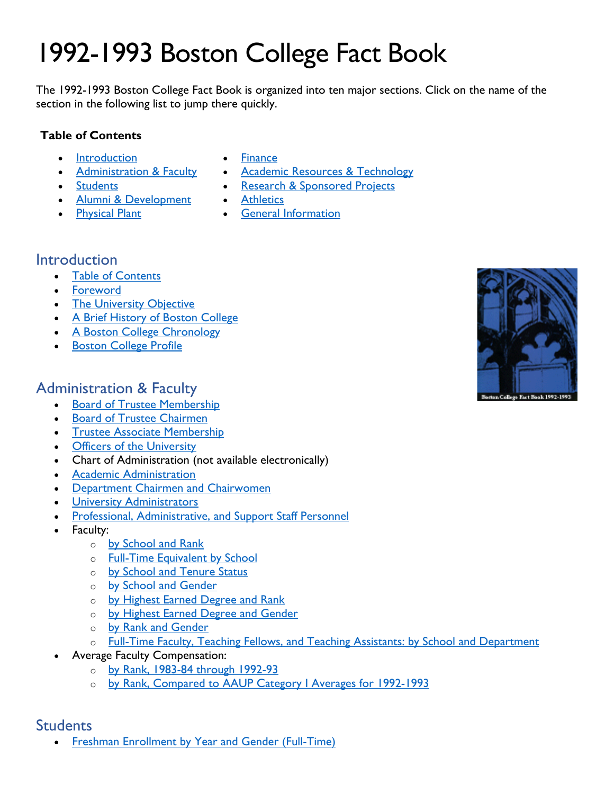# 1992-1993 Boston College Fact Book

The 1992-1993 Boston College Fact Book is organized into ten major sections. Click on the name of the section in the following list to jump there quickly.

#### **Table of Contents**

- [Introduction](#page-0-0)
- [Administration & Faculty](#page-0-1)
- [Students](#page-0-2)
- [Alumni & Development](#page-1-0)
- [Physical Plant](#page-2-0)
- [Finance](#page-2-1)
- [Academic Resources & Technology](#page-2-2)
- [Research & Sponsored Projects](#page-2-3)
- [Athletics](#page-3-0)
- [General Information](#page-3-1)

# <span id="page-0-0"></span>Introduction

- [Table of Contents](https://www.bc.edu/content/dam/files/publications/factbook/txt/FB93toc.txt)
- [Foreword](https://www.bc.edu/content/dam/files/publications/factbook/txt/FB93_Forward.txt)
- [The University Objective](https://www.bc.edu/content/dam/files/publications/factbook/txt/FB93Object.txt)
- [A Brief History of Boston College](https://www.bc.edu/content/dam/files/publications/factbook/txt/FB93BC_History.txt)
- [A Boston College Chronology](https://www.bc.edu/content/dam/files/publications/factbook/txt/FB93BC_Chron.txt)
- [Boston College Profile](https://www.bc.edu/content/dam/files/publications/factbook/txt/FB93BC_Profile.txt)

# <span id="page-0-1"></span>Administration & Faculty

- [Board of Trustee Membership](https://www.bc.edu/content/dam/files/publications/factbook/txt/FB93Trustee_List.txt)
- [Board of Trustee Chairmen](https://www.bc.edu/content/dam/files/publications/factbook/txt/FB93Trustee_Chairs.txt)
- [Trustee Associate Membership](https://www.bc.edu/content/dam/files/publications/factbook/txt/FB93Trustee_Assoc.txt)
- [Officers of the University](https://www.bc.edu/content/dam/files/publications/factbook/txt/FB93Univ_Officers.txt)
- Chart of Administration (not available electronically)
- [Academic Administration](https://www.bc.edu/content/dam/files/publications/factbook/txt/FB93Aca_Admin.txt)
- [Department Chairmen and Chairwomen](https://www.bc.edu/content/dam/files/publications/factbook/txt/FB93Dept_Chairs.txt)
- [University Administrators](https://www.bc.edu/content/dam/files/publications/factbook/txt/FB93Univ_Admin.txt)
- [Professional, Administrative, and Support Staff Personnel](https://www.bc.edu/content/dam/files/publications/factbook/txt/FB93Staff_Stats.txt)
- Faculty:
	- o [by School and Rank](https://www.bc.edu/content/dam/files/publications/factbook/txt/FB93Fac_Sch_Rank.txt)
	- o [Full-Time Equivalent](https://www.bc.edu/content/dam/files/publications/factbook/txt/FB93FTE_Fac.txt) by School
	- o [by School and Tenure Status](https://www.bc.edu/content/dam/files/publications/factbook/txt/FB93Fac_Sch_Ten.txt)
	- o [by School and Gender](https://www.bc.edu/content/dam/files/publications/factbook/txt/FB93Fac_Sch_Gen.txt)
	- o [by Highest Earned Degree and Rank](https://www.bc.edu/content/dam/files/publications/factbook/txt/FB93Fac_Dgr_Rank.txt)
	- o [by Highest Earned Degree and Gender](https://www.bc.edu/content/dam/files/publications/factbook/txt/FB93Fac_Dgr_Gen.txt)
	- o [by Rank and Gender](https://www.bc.edu/content/dam/files/publications/factbook/txt/FB93Fac_Rank_Gen.txt)
	- o [Full-Time Faculty, Teaching Fellows, and Teaching Assistants: by School and Department](https://www.bc.edu/content/dam/files/publications/factbook/txt/FB93Fac_TF_TA.txt)
	- Average Faculty Compensation:
		- o [by Rank, 1983-84 through 1992-93](https://www.bc.edu/content/dam/files/publications/factbook/txt/FB93Fac_Comptn.txt)
		- o by Rank, Compared to AAUP Category | Averages for 1992-1993

#### <span id="page-0-2"></span>**Students**

**[Freshman Enrollment by Year and Gender \(Full-Time\)](https://www.bc.edu/content/dam/files/publications/factbook/txt/FB93FT_Fresh_Enroll.txt)** 

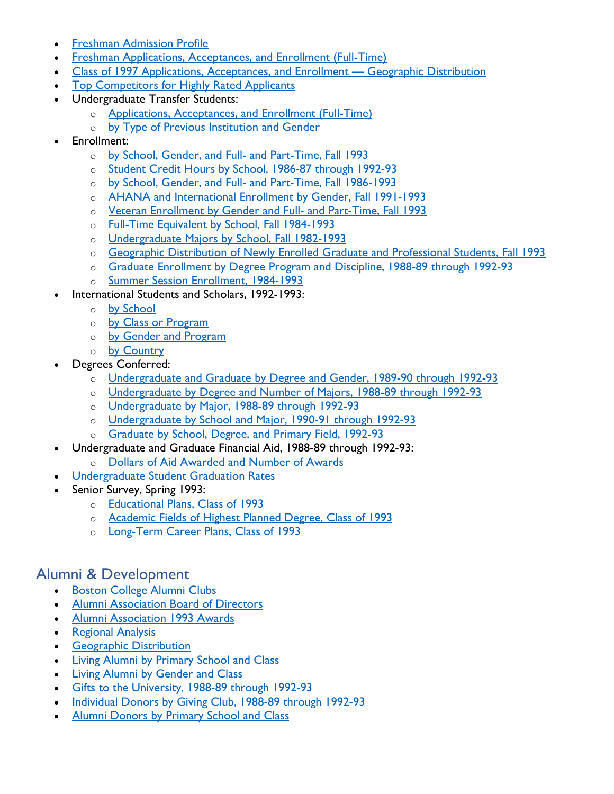- [Freshman Admission Profile](https://www.bc.edu/content/dam/files/publications/factbook/txt/FB93Fresh_Admiss_Prof.txt)
- [Freshman Applications, Acceptances, and Enrollment \(Full-Time\)](https://www.bc.edu/content/dam/files/publications/factbook/txt/FB93Fresh_App_Acpt_Enr.txt)
- [Class of 1997 Applications, Acceptances, and Enrollment Geographic Distribution](https://www.bc.edu/content/dam/files/publications/factbook/txt/FB93Fresh_Apps_Geogr.txt)
- [Top Competitors for Highly Rated Applicants](https://www.bc.edu/content/dam/files/publications/factbook/txt/FB93Top_Competitors.txt)
- Undergraduate Transfer Students:
	- o [Applications, Acceptances, and Enrollment \(Full-Time\)](https://www.bc.edu/content/dam/files/publications/factbook/txt/FB93Transfer_Apps_Acpt.txt)
	- o [by Type of Previous Institution and Gender](https://www.bc.edu/content/dam/files/publications/factbook/txt/FB93Transfer_Enr_Srce.txt)
- Enrollment:
	- o [by School, Gender, and Full- and Part-Time, Fall 1993](https://www.bc.edu/content/dam/files/publications/factbook/txt/FB93Enrollment_Fall_93.txt)
	- o [Student Credit Hours by School, 1986-87 through 1992-93](https://www.bc.edu/content/dam/files/publications/factbook/txt/FB93Student_Credit_Hrs.txt)
	- o [by School, Gender, and Full- and Part-Time, Fall 1986-1993](https://www.bc.edu/content/dam/files/publications/factbook/txt/FB93Enroll86-93.txt)
	- o [AHANA and International Enrollment by Gender, Fall 1991-1993](https://www.bc.edu/content/dam/files/publications/factbook/txt/FB93AHANA_Internl.txt)
	- o [Veteran Enrollment by Gender and Full- and Part-Time, Fall 1993](https://www.bc.edu/content/dam/files/publications/factbook/txt/FB93VetEnrollmt.txt)
	- o [Full-Time Equivalent by School, Fall 1984-1993](https://www.bc.edu/content/dam/files/publications/factbook/txt/FB93Enrolmt.txt)
	- o [Undergraduate Majors by School, Fall 1982-1993](https://www.bc.edu/content/dam/files/publications/factbook/txt/FB93UnderG_Majors.txt)
	- o [Geographic Distribution of Newly Enrolled Graduate and Professional Students, Fall 1993](https://www.bc.edu/content/dam/files/publications/factbook/txt/FB93Grad_Stud_Geogr.txt)
	- o [Graduate Enrollment by Degree Program and Discipline, 1988-89 through 1992-93](https://www.bc.edu/content/dam/files/publications/factbook/txt/FB93Grad_Enroll.txt)
	- o [Summer Session Enrollment, 1984-1993](https://www.bc.edu/content/dam/files/publications/factbook/txt/FB93Summer_Enr.txt)
	- International Students and Scholars, 1992-1993:
		- o [by School](https://www.bc.edu/content/dam/files/publications/factbook/txt/FB93Internatl_by_Schl.txt)
		- o [by Class or Program](https://www.bc.edu/content/dam/files/publications/factbook/txt/FB93Internatl_by_Class.txt)
		- o [by Gender and Program](https://www.bc.edu/content/dam/files/publications/factbook/txt/FB93Internatl_by_Gendr.txt)
		- o [by Country](https://www.bc.edu/content/dam/files/publications/factbook/txt/FB93Internatl_by_Cntry.txt)
- Degrees Conferred:
	- o [Undergraduate and Graduate by Degree and Gender, 1989-90 through 1992-93](https://www.bc.edu/content/dam/files/publications/factbook/txt/FB93Dgrs_Gndr.txt)
	- o [Undergraduate by Degree and Number of Majors, 1988-89 through 1992-93](https://www.bc.edu/content/dam/files/publications/factbook/txt/FB93UG_Dgr_Num_Maj.txt)
	- o [Undergraduate by Major, 1988-89 through 1992-93](https://www.bc.edu/content/dam/files/publications/factbook/txt/FB93UG_Dgr_Maj.txt)
	- o [Undergraduate by School and Major, 1990-91 through 1992-93](https://www.bc.edu/content/dam/files/publications/factbook/txt/FB93UDgr_Sch_Maj.txt)
	- o [Graduate by School, Degree, and Primary Field, 1992-93](https://www.bc.edu/content/dam/files/publications/factbook/txt/FB93Grad_Dgrs_91-92.txt)
- Undergraduate and Graduate Financial Aid, 1988-89 through 1992-93:
	- o [Dollars of Aid Awarded and Number of Awards](https://www.bc.edu/content/dam/files/publications/factbook/txt/FB93Fin_Aid.txt)
- [Undergraduate Student Graduation Rates](https://www.bc.edu/content/dam/files/publications/factbook/txt/FB93Grad_Rates.txt)
- Senior Survey, Spring 1993:
	- o [Educational Plans, Class of 1993](https://www.bc.edu/content/dam/files/publications/factbook/txt/FB93Dgr_Plans.txt)
	- o [Academic Fields of Highest Planned Degree, Class of 1993](https://www.bc.edu/content/dam/files/publications/factbook/txt/FB93Field_Plans.txt)
	- o [Long-Term Career Plans, Class of 1993](https://www.bc.edu/content/dam/files/publications/factbook/txt/FB93Career_Plans.txt)

### <span id="page-1-0"></span>Alumni & Development

- [Boston College Alumni Clubs](https://www.bc.edu/content/dam/files/publications/factbook/txt/FB93Alum_Clubs.txt)
- [Alumni Association Board of Directors](https://www.bc.edu/content/dam/files/publications/factbook/txt/FB93Alum_BofD.txt)
- [Alumni Association 1993 Awards](https://www.bc.edu/content/dam/files/publications/factbook/txt/FB93Alum_Awards.txt)
- [Regional Analysis](https://www.bc.edu/content/dam/files/publications/factbook/txt/FB93Alum_Regnl_Anal.txt)
- [Geographic Distribution](https://www.bc.edu/content/dam/files/publications/factbook/txt/FB93Alum_Geogr_Dist.txt)
- [Living Alumni by Primary School and Class](https://www.bc.edu/content/dam/files/publications/factbook/txt/FB93Alum_Sch.txt)
- [Living Alumni by Gender and Class](https://www.bc.edu/content/dam/files/publications/factbook/txt/FB93Alum_Gender.txt)
- [Gifts to the University, 1988-89 through 1992-93](https://www.bc.edu/content/dam/files/publications/factbook/txt/FB93Private_Gifts.txt)
- [Individual Donors by Giving Club, 1988-89 through 1992-93](https://www.bc.edu/content/dam/files/publications/factbook/txt/FB93Donors_by_Club.txt)
- [Alumni Donors by Primary School and Class](https://www.bc.edu/content/dam/files/publications/factbook/txt/FB93Alum_Donors.txt)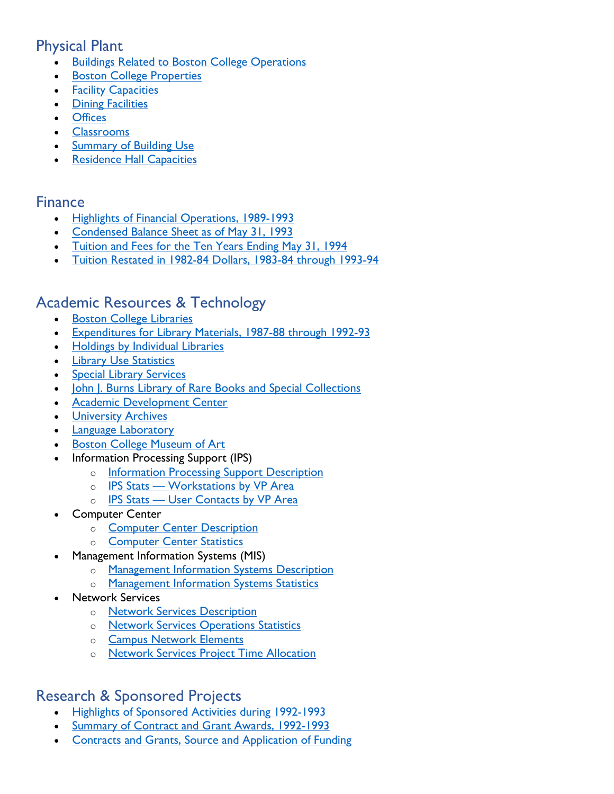# <span id="page-2-0"></span>Physical Plant

- **[Buildings Related to Boston College Operations](https://www.bc.edu/content/dam/files/publications/factbook/txt/FB93Buildings.txt)**
- **[Boston College Properties](https://www.bc.edu/content/dam/files/publications/factbook/txt/FB93Properties.txt)**
- [Facility Capacities](https://www.bc.edu/content/dam/files/publications/factbook/txt/FB93Facility_Cap.txt)
- [Dining Facilities](https://www.bc.edu/content/dam/files/publications/factbook/txt/FB93Dining_Fac.txt)
- [Offices](https://www.bc.edu/content/dam/files/publications/factbook/txt/FB93Offices.txt)
- [Classrooms](https://www.bc.edu/content/dam/files/publications/factbook/txt/FB93Classrooms.txt)
- **[Summary of Building Use](https://www.bc.edu/content/dam/files/publications/factbook/txt/FB93Bldg_Use.txt)**
- **[Residence Hall Capacities](https://www.bc.edu/content/dam/files/publications/factbook/txt/FB93Dorm_Cap.txt)**

#### <span id="page-2-1"></span>Finance

- [Highlights of Financial Operations, 1989-1993](https://www.bc.edu/content/dam/files/publications/factbook/txt/FB93Fin_Highlts.txt)
- [Condensed Balance Sheet as of May 31, 1993](https://www.bc.edu/content/dam/files/publications/factbook/txt/FB93Bal_Sheet.txt)
- [Tuition and Fees for the Ten Years Ending May 31, 1994](https://www.bc.edu/content/dam/files/publications/factbook/txt/FB93Tuition_Fees.txt)
- [Tuition Restated in 1982-84 Dollars, 1983-84 through 1993-94](https://www.bc.edu/content/dam/files/publications/factbook/txt/FB93Tuition_82-84%24s.txt)

## <span id="page-2-2"></span>Academic Resources & Technology

- [Boston College Libraries](https://www.bc.edu/content/dam/files/publications/factbook/txt/FB93BC_Libraries.txt)
- [Expenditures for Library Materials, 1987-88 through 1992-93](https://www.bc.edu/content/dam/files/publications/factbook/txt/FB93Libr_Exp.txt)
- [Holdings by Individual Libraries](https://www.bc.edu/content/dam/files/publications/factbook/txt/FB93Libr_Holdgs.txt)
- [Library Use Statistics](https://www.bc.edu/content/dam/files/publications/factbook/txt/FB93Libr_Use.txt)
- [Special Library Services](https://www.bc.edu/content/dam/files/publications/factbook/txt/FB93Spec_Libr_Serv.txt)
- [John J. Burns Library of Rare Books and Special Collections](https://www.bc.edu/content/dam/files/publications/factbook/txt/FB93Burns_Libr.txt)
- **[Academic Development Center](https://www.bc.edu/content/dam/files/publications/factbook/txt/FB93Acad_Dev_Ctr.txt)**
- [University Archives](https://www.bc.edu/content/dam/files/publications/factbook/txt/FB93Archives.txt)
- [Language Laboratory](https://www.bc.edu/content/dam/files/publications/factbook/txt/FB93Lang_Lab.txt)
- **[Boston College Museum of Art](https://www.bc.edu/content/dam/files/publications/factbook/txt/FB93Museum_Art.txt)**
- Information Processing Support (IPS)
	- o **[Information Processing Support Description](https://www.bc.edu/content/dam/files/publications/factbook/txt/FB93_IPS_Desc.txt)**
	- o [IPS Stats Workstations by VP Area](https://www.bc.edu/content/dam/files/publications/factbook/txt/FB93IPS_Wkrst_VP.txt)
	- o [IPS Stats User Contacts by VP Area](https://www.bc.edu/content/dam/files/publications/factbook/txt/FB93User_Contacts.txt)
- **Computer Center** 
	- o [Computer Center Description](https://www.bc.edu/content/dam/files/publications/factbook/txt/FB93Computer_Ctr_Desc.txt)
	- o [Computer Center Statistics](https://www.bc.edu/content/dam/files/publications/factbook/txt/FB93Computer_Center_Stats.txt)
- Management Information Systems (MIS)
	- o [Management Information Systems Description](https://www.bc.edu/content/dam/files/publications/factbook/txt/FB93MIS_Desc.txt)
	- o [Management Information Systems Statistics](https://www.bc.edu/content/dam/files/publications/factbook/txt/FB93MIS_Stats.txt)
- **Network Services** 
	- o [Network Services Description](https://www.bc.edu/content/dam/files/publications/factbook/txt/FB93NetServ_Desc.txt)
	- o Network [Services Operations Statistics](https://www.bc.edu/content/dam/files/publications/factbook/txt/FB93NetOpStats.txt)
	- o [Campus Network Elements](https://www.bc.edu/content/dam/files/publications/factbook/txt/FB93NetElements.txt)
	- o [Network Services Project Time Allocation](https://www.bc.edu/content/dam/files/publications/factbook/txt/FB93NetServProjAlloc.txt)

# <span id="page-2-3"></span>Research & Sponsored Projects

- [Highlights of Sponsored Activities during 1992-1993](https://www.bc.edu/content/dam/files/publications/factbook/txt/FB93Res_Highlights.txt)
- [Summary of Contract and Grant Awards, 1992-1993](https://www.bc.edu/content/dam/files/publications/factbook/txt/FB93Contr_Grnts92-93.txt)
- [Contracts and Grants, Source and Application of Funding](https://www.bc.edu/content/dam/files/publications/factbook/txt/FB93ContGrantsSrc.txt)